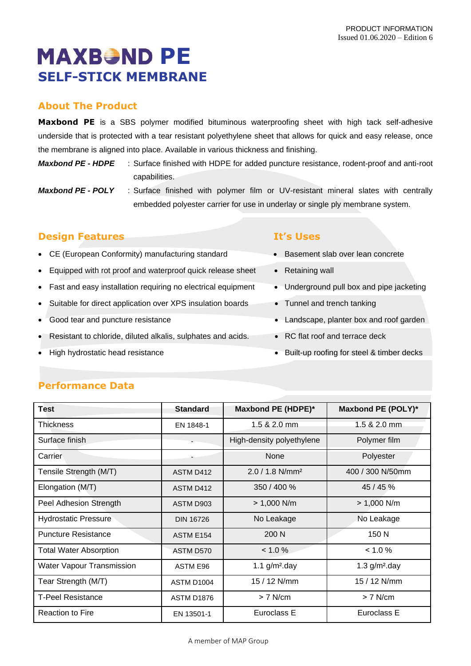# **MAXBOND PE SELF-STICK MEMBRANE**

# **About The Product**

**Maxbond PE** is a SBS polymer modified bituminous waterproofing sheet with high tack self-adhesive underside that is protected with a tear resistant polyethylene sheet that allows for quick and easy release, once the membrane is aligned into place. Available in various thickness and finishing.

*Maxbond PE - HDPE* : Surface finished with HDPE for added puncture resistance, rodent-proof and anti-root capabilities.

*Maxbond PE - POLY* : Surface finished with polymer film or UV-resistant mineral slates with centrally embedded polyester carrier for use in underlay or single ply membrane system.

## **Design Features It's Uses**

- CE (European Conformity) manufacturing standard Basement slab over lean concrete
- Equipped with rot proof and waterproof quick release sheet Retaining wall
- Fast and easy installation requiring no electrical equipment Underground pull box and pipe jacketing
- Suitable for direct application over XPS insulation boards Tunnel and trench tanking
- 
- Resistant to chloride, diluted alkalis, sulphates and acids. RC flat roof and terrace deck
- 

- 
- 
- 
- 
- Good tear and puncture resistance Landscape, planter box and roof garden
	-
- High hydrostatic head resistance Built-up roofing for steel & timber decks

| <b>Test</b>                   | <b>Standard</b>   | Maxbond PE (HDPE)*            | Maxbond PE (POLY)* |
|-------------------------------|-------------------|-------------------------------|--------------------|
| Thickness                     | EN 1848-1         | 1.5 & 2.0 mm                  | 1.5 & 2.0 mm       |
| Surface finish                |                   | High-density polyethylene     | Polymer film       |
| Carrier                       |                   | None                          | Polyester          |
| Tensile Strength (M/T)        | <b>ASTM D412</b>  | $2.0 / 1.8$ N/mm <sup>2</sup> | 400 / 300 N/50mm   |
| Elongation (M/T)              | ASTM D412         | 350 / 400 %                   | 45 / 45 %          |
| Peel Adhesion Strength        | ASTM D903         | $> 1,000$ N/m                 | $> 1,000$ N/m      |
| <b>Hydrostatic Pressure</b>   | <b>DIN 16726</b>  | No Leakage                    | No Leakage         |
| <b>Puncture Resistance</b>    | ASTM E154         | 200 N                         | 150 N              |
| <b>Total Water Absorption</b> | ASTM D570         | < 1.0 %                       | < 1.0 %            |
| Water Vapour Transmission     | ASTM E96          | 1.1 $g/m^2$ .day              | 1.3 $g/m2$ .day    |
| Tear Strength (M/T)           | ASTM D1004        | 15 / 12 N/mm                  | 15 / 12 N/mm       |
| <b>T-Peel Resistance</b>      | <b>ASTM D1876</b> | $> 7$ N/cm                    | $> 7$ N/cm         |
| <b>Reaction to Fire</b>       | EN 13501-1        | Euroclass E                   | Euroclass E        |

## **Performance Data**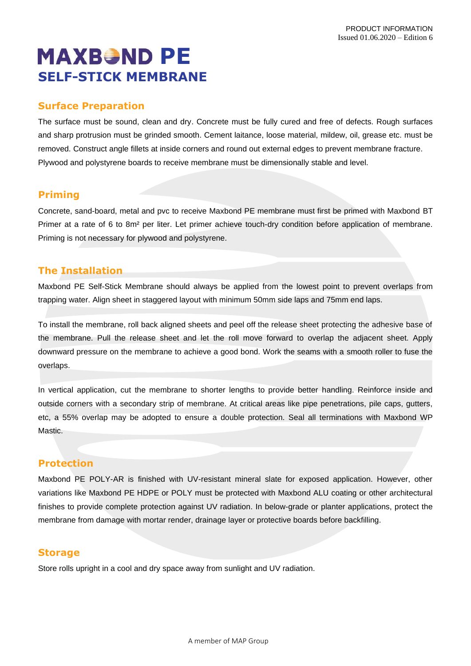# **MAXBOND PE SELF-STICK MEMBRANE**

### **Surface Preparation**

The surface must be sound, clean and dry. Concrete must be fully cured and free of defects. Rough surfaces and sharp protrusion must be grinded smooth. Cement laitance, loose material, mildew, oil, grease etc. must be removed. Construct angle fillets at inside corners and round out external edges to prevent membrane fracture. Plywood and polystyrene boards to receive membrane must be dimensionally stable and level.

### **Priming**

Concrete, sand-board, metal and pvc to receive Maxbond PE membrane must first be primed with Maxbond BT Primer at a rate of 6 to 8m² per liter. Let primer achieve touch-dry condition before application of membrane. Priming is not necessary for plywood and polystyrene.

### **The Installation**

Maxbond PE Self-Stick Membrane should always be applied from the lowest point to prevent overlaps from trapping water. Align sheet in staggered layout with minimum 50mm side laps and 75mm end laps.

To install the membrane, roll back aligned sheets and peel off the release sheet protecting the adhesive base of the membrane. Pull the release sheet and let the roll move forward to overlap the adjacent sheet. Apply downward pressure on the membrane to achieve a good bond. Work the seams with a smooth roller to fuse the overlaps.

In vertical application, cut the membrane to shorter lengths to provide better handling. Reinforce inside and outside corners with a secondary strip of membrane. At critical areas like pipe penetrations, pile caps, gutters, etc, a 55% overlap may be adopted to ensure a double protection. Seal all terminations with Maxbond WP **Mastic** 

#### **Protection**

Maxbond PE POLY-AR is finished with UV-resistant mineral slate for exposed application. However, other variations like Maxbond PE HDPE or POLY must be protected with Maxbond ALU coating or other architectural finishes to provide complete protection against UV radiation. In below-grade or planter applications, protect the membrane from damage with mortar render, drainage layer or protective boards before backfilling.

#### **Storage**

Store rolls upright in a cool and dry space away from sunlight and UV radiation.